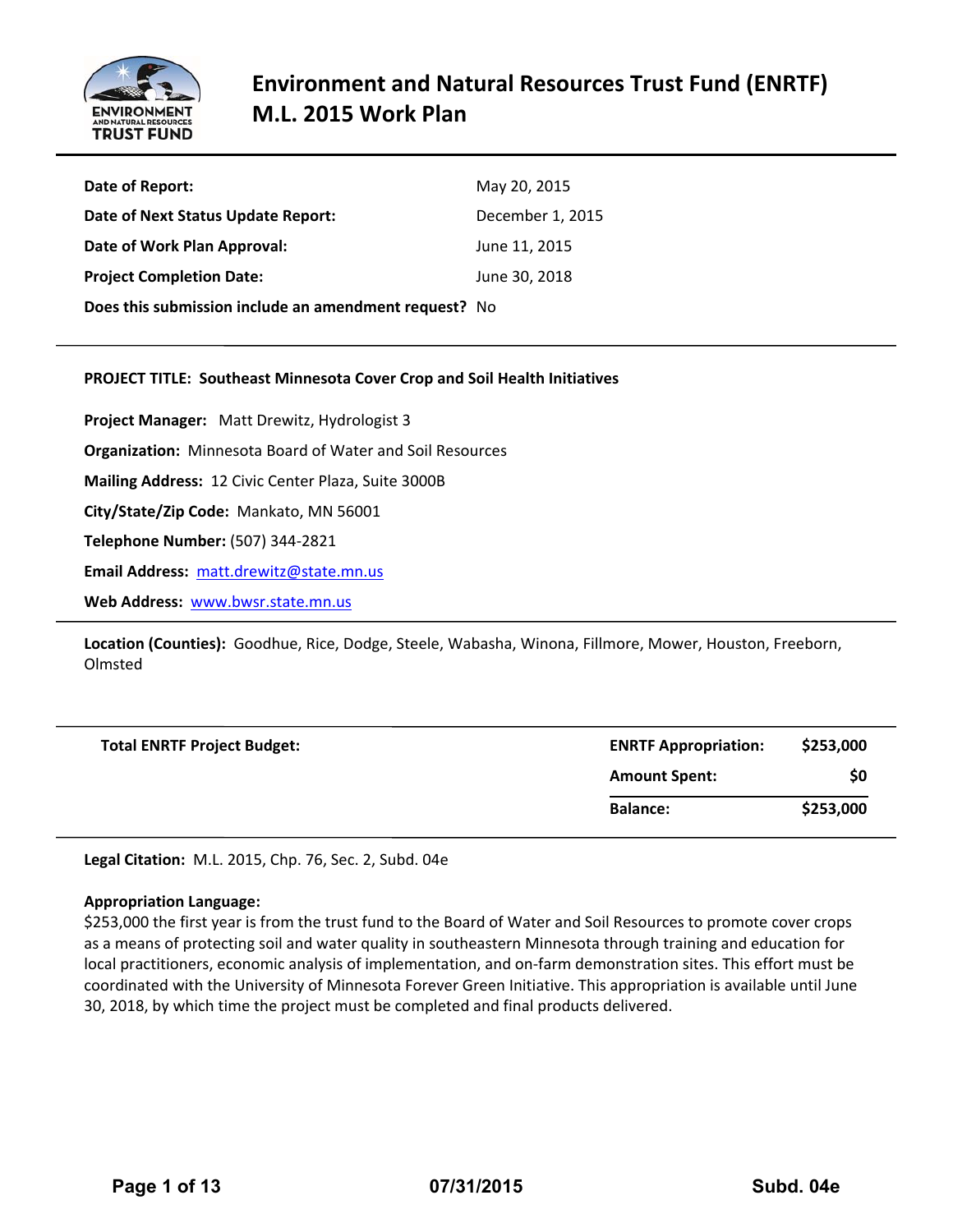

| Date of Report:                                       | May 20, 2015     |
|-------------------------------------------------------|------------------|
| Date of Next Status Update Report:                    | December 1, 2015 |
| Date of Work Plan Approval:                           | June 11, 2015    |
| <b>Project Completion Date:</b>                       | June 30, 2018    |
| Does this submission include an amendment request? No |                  |

#### **PROJECT TITLE: Southeast Minnesota Cover Crop and Soil Health Initiatives**

**Project Manager:**  Matt Drewitz, Hydrologist 3 **Organization:** Minnesota Board of Water and Soil Resources **Mailing Address:** 12 Civic Center Plaza, Suite 3000B **City/State/Zip Code:** Mankato, MN 56001 **Telephone Number:** (507) 344‐2821 **Email Address:** matt.drewitz@state.mn.us **Web Address:** www.bwsr.state.mn.us

**Location (Counties):** Goodhue, Rice, Dodge, Steele, Wabasha, Winona, Fillmore, Mower, Houston, Freeborn, Olmsted

| <b>Total ENRTF Project Budget:</b> | <b>ENRTF Appropriation:</b> | \$253,000 |
|------------------------------------|-----------------------------|-----------|
|                                    | <b>Amount Spent:</b>        | \$0       |
|                                    | <b>Balance:</b>             | \$253,000 |

**Legal Citation:** M.L. 2015, Chp. 76, Sec. 2, Subd. 04e

#### **Appropriation Language:**

\$253,000 the first year is from the trust fund to the Board of Water and Soil Resources to promote cover crops as a means of protecting soil and water quality in southeastern Minnesota through training and education for local practitioners, economic analysis of implementation, and on‐farm demonstration sites. This effort must be coordinated with the University of Minnesota Forever Green Initiative. This appropriation is available until June 30, 2018, by which time the project must be completed and final products delivered.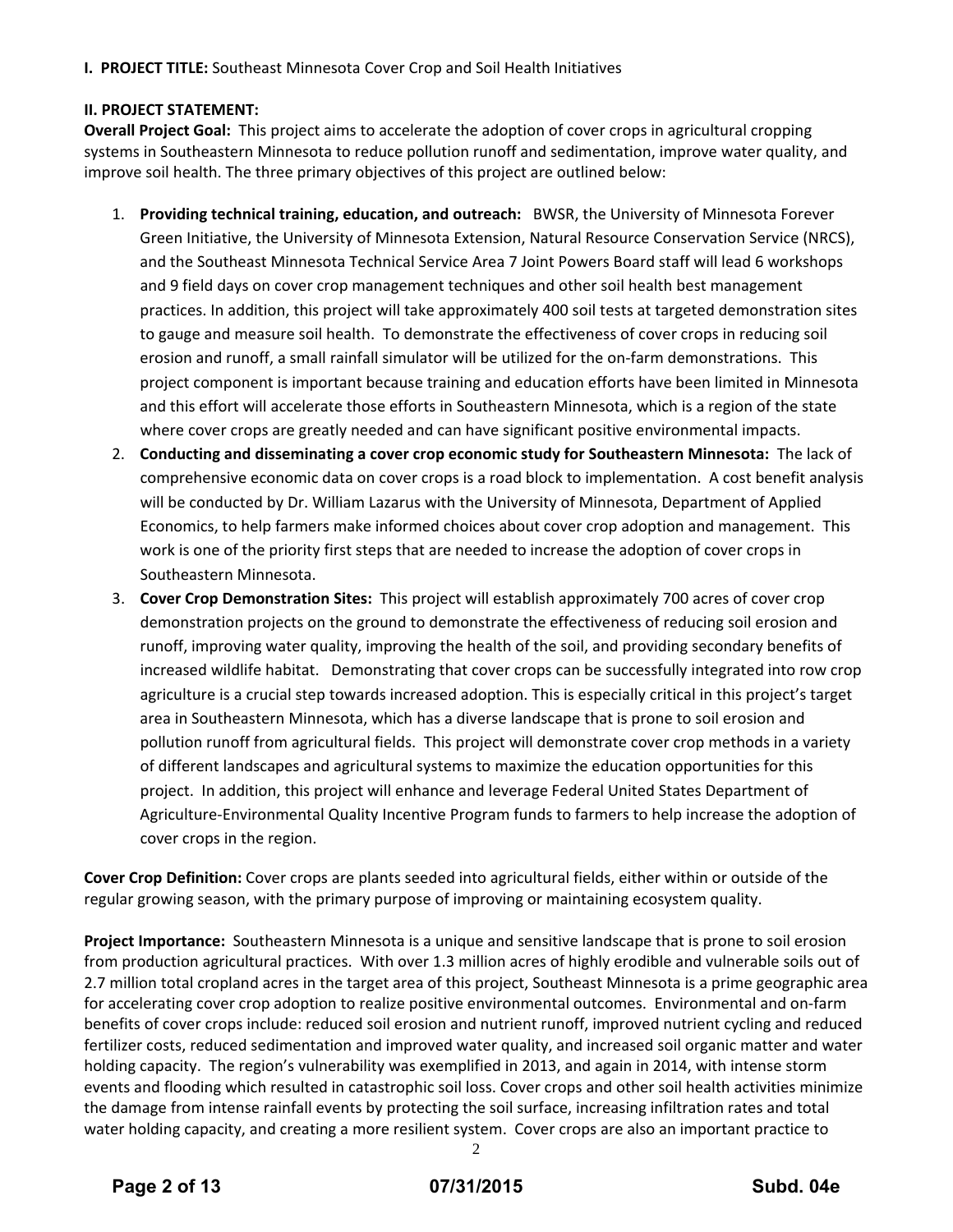**I. PROJECT TITLE:** Southeast Minnesota Cover Crop and Soil Health Initiatives

# **II. PROJECT STATEMENT:**

**Overall Project Goal:** This project aims to accelerate the adoption of cover crops in agricultural cropping systems in Southeastern Minnesota to reduce pollution runoff and sedimentation, improve water quality, and improve soil health. The three primary objectives of this project are outlined below:

- 1. **Providing technical training, education, and outreach:**  BWSR, the University of Minnesota Forever Green Initiative, the University of Minnesota Extension, Natural Resource Conservation Service (NRCS), and the Southeast Minnesota Technical Service Area 7 Joint Powers Board staff will lead 6 workshops and 9 field days on cover crop management techniques and other soil health best management practices. In addition, this project will take approximately 400 soil tests at targeted demonstration sites to gauge and measure soil health. To demonstrate the effectiveness of cover crops in reducing soil erosion and runoff, a small rainfall simulator will be utilized for the on-farm demonstrations. This project component is important because training and education efforts have been limited in Minnesota and this effort will accelerate those efforts in Southeastern Minnesota, which is a region of the state where cover crops are greatly needed and can have significant positive environmental impacts.
- 2. **Conducting and disseminating a cover crop economic study for Southeastern Minnesota:** The lack of comprehensive economic data on cover crops is a road block to implementation. A cost benefit analysis will be conducted by Dr. William Lazarus with the University of Minnesota, Department of Applied Economics, to help farmers make informed choices about cover crop adoption and management. This work is one of the priority first steps that are needed to increase the adoption of cover crops in Southeastern Minnesota.
- 3. **Cover Crop Demonstration Sites:** This project will establish approximately 700 acres of cover crop demonstration projects on the ground to demonstrate the effectiveness of reducing soil erosion and runoff, improving water quality, improving the health of the soil, and providing secondary benefits of increased wildlife habitat. Demonstrating that cover crops can be successfully integrated into row crop agriculture is a crucial step towards increased adoption. This is especially critical in this project's target area in Southeastern Minnesota, which has a diverse landscape that is prone to soil erosion and pollution runoff from agricultural fields. This project will demonstrate cover crop methods in a variety of different landscapes and agricultural systems to maximize the education opportunities for this project. In addition, this project will enhance and leverage Federal United States Department of Agriculture‐Environmental Quality Incentive Program funds to farmers to help increase the adoption of cover crops in the region.

**Cover Crop Definition:** Cover crops are plants seeded into agricultural fields, either within or outside of the regular growing season, with the primary purpose of improving or maintaining ecosystem quality.

**Project Importance:** Southeastern Minnesota is a unique and sensitive landscape that is prone to soil erosion from production agricultural practices. With over 1.3 million acres of highly erodible and vulnerable soils out of 2.7 million total cropland acres in the target area of this project, Southeast Minnesota is a prime geographic area for accelerating cover crop adoption to realize positive environmental outcomes. Environmental and on-farm benefits of cover crops include: reduced soil erosion and nutrient runoff, improved nutrient cycling and reduced fertilizer costs, reduced sedimentation and improved water quality, and increased soil organic matter and water holding capacity. The region's vulnerability was exemplified in 2013, and again in 2014, with intense storm events and flooding which resulted in catastrophic soil loss. Cover crops and other soil health activities minimize the damage from intense rainfall events by protecting the soil surface, increasing infiltration rates and total water holding capacity, and creating a more resilient system. Cover crops are also an important practice to

2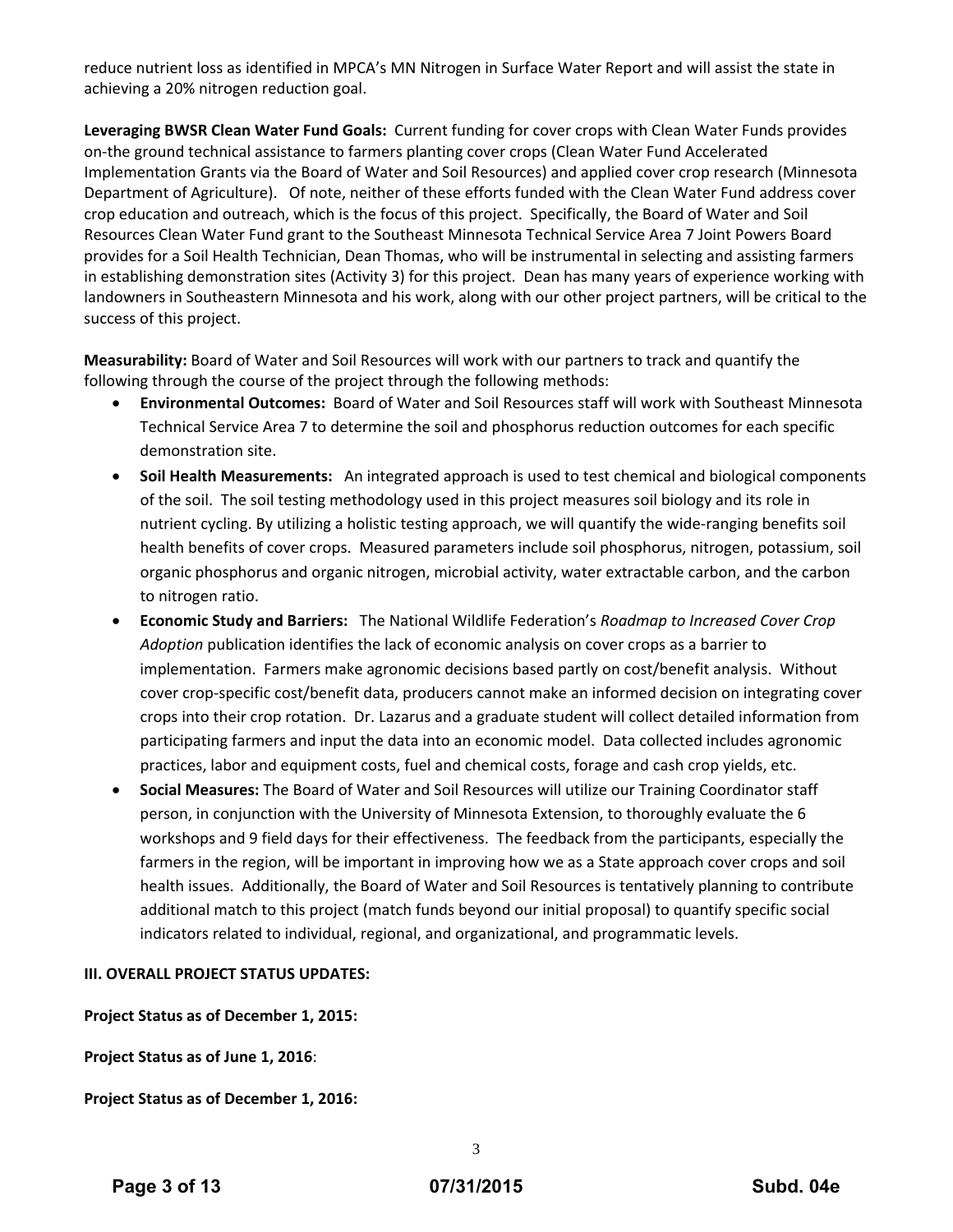reduce nutrient loss as identified in MPCA's MN Nitrogen in Surface Water Report and will assist the state in achieving a 20% nitrogen reduction goal.

**Leveraging BWSR Clean Water Fund Goals:** Current funding for cover crops with Clean Water Funds provides on‐the ground technical assistance to farmers planting cover crops (Clean Water Fund Accelerated Implementation Grants via the Board of Water and Soil Resources) and applied cover crop research (Minnesota Department of Agriculture). Of note, neither of these efforts funded with the Clean Water Fund address cover crop education and outreach, which is the focus of this project. Specifically, the Board of Water and Soil Resources Clean Water Fund grant to the Southeast Minnesota Technical Service Area 7 Joint Powers Board provides for a Soil Health Technician, Dean Thomas, who will be instrumental in selecting and assisting farmers in establishing demonstration sites (Activity 3) for this project. Dean has many years of experience working with landowners in Southeastern Minnesota and his work, along with our other project partners, will be critical to the success of this project.

**Measurability:** Board of Water and Soil Resources will work with our partners to track and quantify the following through the course of the project through the following methods:

- **Environmental Outcomes:** Board of Water and Soil Resources staff will work with Southeast Minnesota Technical Service Area 7 to determine the soil and phosphorus reduction outcomes for each specific demonstration site.
- **Soil Health Measurements:** An integrated approach is used to test chemical and biological components of the soil. The soil testing methodology used in this project measures soil biology and its role in nutrient cycling. By utilizing a holistic testing approach, we will quantify the wide‐ranging benefits soil health benefits of cover crops. Measured parameters include soil phosphorus, nitrogen, potassium, soil organic phosphorus and organic nitrogen, microbial activity, water extractable carbon, and the carbon to nitrogen ratio.
- **Economic Study and Barriers:** The National Wildlife Federation's *Roadmap to Increased Cover Crop Adoption* publication identifies the lack of economic analysis on cover crops as a barrier to implementation. Farmers make agronomic decisions based partly on cost/benefit analysis. Without cover crop‐specific cost/benefit data, producers cannot make an informed decision on integrating cover crops into their crop rotation. Dr. Lazarus and a graduate student will collect detailed information from participating farmers and input the data into an economic model. Data collected includes agronomic practices, labor and equipment costs, fuel and chemical costs, forage and cash crop yields, etc.
- **Social Measures:** The Board of Water and Soil Resources will utilize our Training Coordinator staff person, in conjunction with the University of Minnesota Extension, to thoroughly evaluate the 6 workshops and 9 field days for their effectiveness. The feedback from the participants, especially the farmers in the region, will be important in improving how we as a State approach cover crops and soil health issues. Additionally, the Board of Water and Soil Resources is tentatively planning to contribute additional match to this project (match funds beyond our initial proposal) to quantify specific social indicators related to individual, regional, and organizational, and programmatic levels.

#### **III. OVERALL PROJECT STATUS UPDATES:**

**Project Status as of December 1, 2015:**

**Project Status as of June 1, 2016**:

**Project Status as of December 1, 2016:**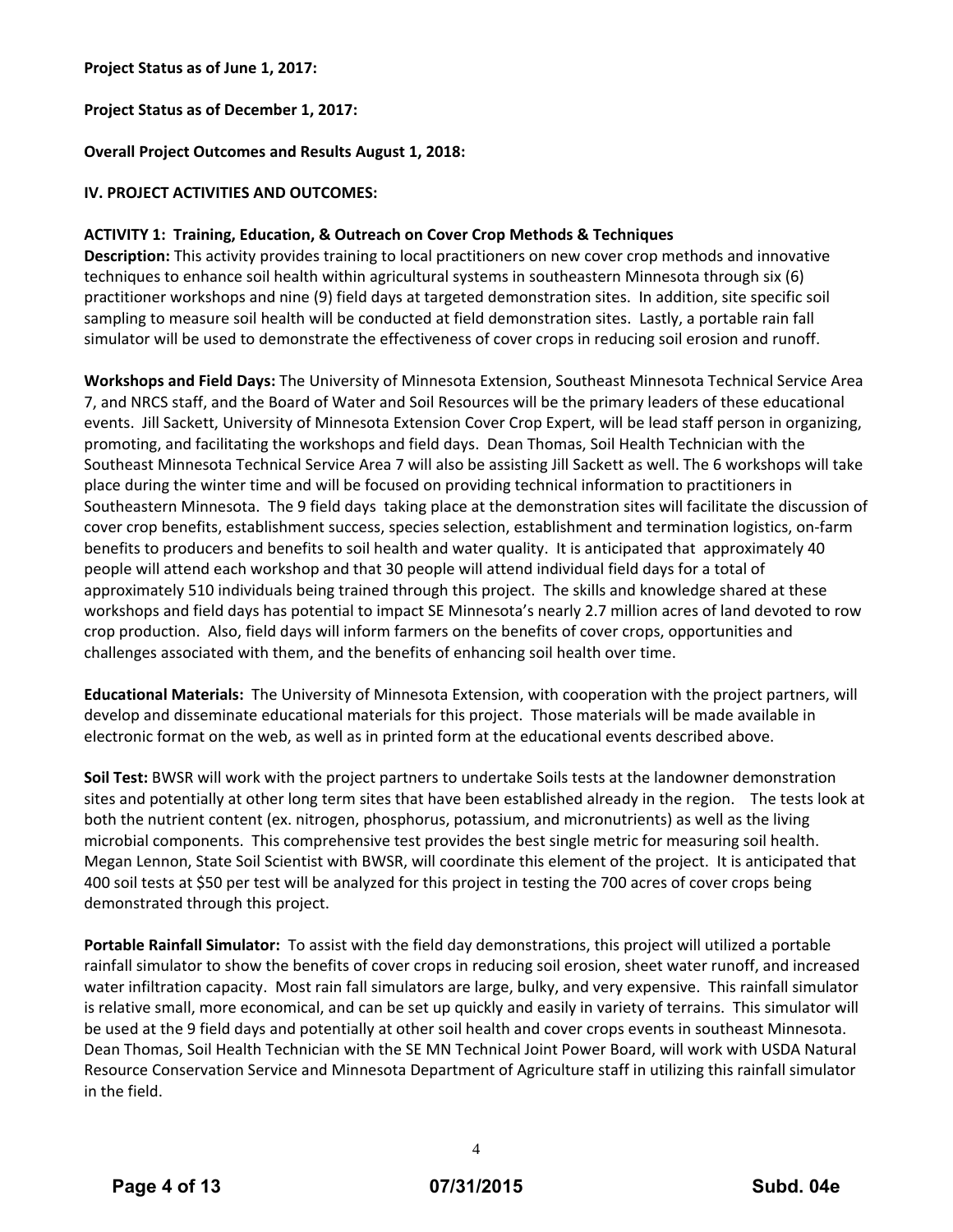# **Project Status as of June 1, 2017:**

# **Project Status as of December 1, 2017:**

# **Overall Project Outcomes and Results August 1, 2018:**

# **IV. PROJECT ACTIVITIES AND OUTCOMES:**

#### **ACTIVITY 1: Training, Education, & Outreach on Cover Crop Methods & Techniques**

**Description:** This activity provides training to local practitioners on new cover crop methods and innovative techniques to enhance soil health within agricultural systems in southeastern Minnesota through six (6) practitioner workshops and nine (9) field days at targeted demonstration sites. In addition, site specific soil sampling to measure soil health will be conducted at field demonstration sites. Lastly, a portable rain fall simulator will be used to demonstrate the effectiveness of cover crops in reducing soil erosion and runoff.

**Workshops and Field Days:** The University of Minnesota Extension, Southeast Minnesota Technical Service Area 7, and NRCS staff, and the Board of Water and Soil Resources will be the primary leaders of these educational events. Jill Sackett, University of Minnesota Extension Cover Crop Expert, will be lead staff person in organizing, promoting, and facilitating the workshops and field days. Dean Thomas, Soil Health Technician with the Southeast Minnesota Technical Service Area 7 will also be assisting Jill Sackett as well. The 6 workshops will take place during the winter time and will be focused on providing technical information to practitioners in Southeastern Minnesota. The 9 field days taking place at the demonstration sites will facilitate the discussion of cover crop benefits, establishment success, species selection, establishment and termination logistics, on‐farm benefits to producers and benefits to soil health and water quality. It is anticipated that approximately 40 people will attend each workshop and that 30 people will attend individual field days for a total of approximately 510 individuals being trained through this project. The skills and knowledge shared at these workshops and field days has potential to impact SE Minnesota's nearly 2.7 million acres of land devoted to row crop production. Also, field days will inform farmers on the benefits of cover crops, opportunities and challenges associated with them, and the benefits of enhancing soil health over time.

**Educational Materials:** The University of Minnesota Extension, with cooperation with the project partners, will develop and disseminate educational materials for this project. Those materials will be made available in electronic format on the web, as well as in printed form at the educational events described above.

**Soil Test:** BWSR will work with the project partners to undertake Soils tests at the landowner demonstration sites and potentially at other long term sites that have been established already in the region. The tests look at both the nutrient content (ex. nitrogen, phosphorus, potassium, and micronutrients) as well as the living microbial components. This comprehensive test provides the best single metric for measuring soil health. Megan Lennon, State Soil Scientist with BWSR, will coordinate this element of the project. It is anticipated that 400 soil tests at \$50 per test will be analyzed for this project in testing the 700 acres of cover crops being demonstrated through this project.

**Portable Rainfall Simulator:** To assist with the field day demonstrations, this project will utilized a portable rainfall simulator to show the benefits of cover crops in reducing soil erosion, sheet water runoff, and increased water infiltration capacity. Most rain fall simulators are large, bulky, and very expensive. This rainfall simulator is relative small, more economical, and can be set up quickly and easily in variety of terrains. This simulator will be used at the 9 field days and potentially at other soil health and cover crops events in southeast Minnesota. Dean Thomas, Soil Health Technician with the SE MN Technical Joint Power Board, will work with USDA Natural Resource Conservation Service and Minnesota Department of Agriculture staff in utilizing this rainfall simulator in the field.

4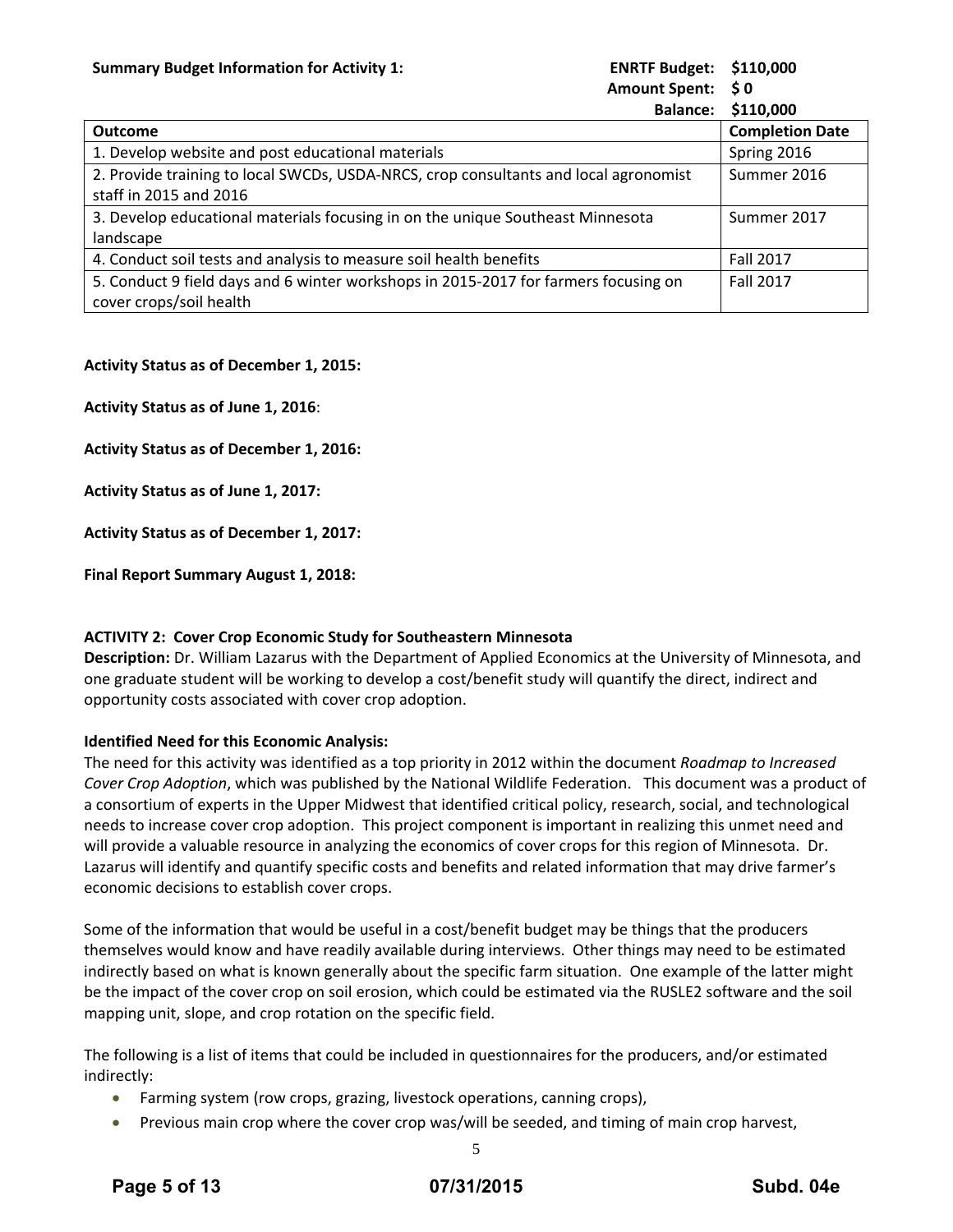| <b>ENRTF Budget:</b> | \$110,000 |
|----------------------|-----------|
| <b>Amount Spent:</b> | S 0       |

| unt Spent: | ง บ |
|------------|-----|
|            | .   |

| <b>Balance:</b>                                                                                                | \$110,000              |
|----------------------------------------------------------------------------------------------------------------|------------------------|
| Outcome                                                                                                        | <b>Completion Date</b> |
| 1. Develop website and post educational materials                                                              | Spring 2016            |
| 2. Provide training to local SWCDs, USDA-NRCS, crop consultants and local agronomist<br>staff in 2015 and 2016 | Summer 2016            |
| 3. Develop educational materials focusing in on the unique Southeast Minnesota<br>landscape                    | Summer 2017            |
| 4. Conduct soil tests and analysis to measure soil health benefits                                             | Fall 2017              |
| 5. Conduct 9 field days and 6 winter workshops in 2015-2017 for farmers focusing on<br>cover crops/soil health | <b>Fall 2017</b>       |

# **Activity Status as of December 1, 2015:**

**Activity Status as of June 1, 2016**:

**Activity Status as of December 1, 2016:**

**Activity Status as of June 1, 2017:**

**Activity Status as of December 1, 2017:**

**Final Report Summary August 1, 2018:**

# **ACTIVITY 2: Cover Crop Economic Study for Southeastern Minnesota**

**Description:** Dr. William Lazarus with the Department of Applied Economics at the University of Minnesota, and one graduate student will be working to develop a cost/benefit study will quantify the direct, indirect and opportunity costs associated with cover crop adoption.

# **Identified Need for this Economic Analysis:**

The need for this activity was identified as a top priority in 2012 within the document *Roadmap to Increased Cover Crop Adoption*, which was published by the National Wildlife Federation. This document was a product of a consortium of experts in the Upper Midwest that identified critical policy, research, social, and technological needs to increase cover crop adoption. This project component is important in realizing this unmet need and will provide a valuable resource in analyzing the economics of cover crops for this region of Minnesota. Dr. Lazarus will identify and quantify specific costs and benefits and related information that may drive farmer's economic decisions to establish cover crops.

Some of the information that would be useful in a cost/benefit budget may be things that the producers themselves would know and have readily available during interviews. Other things may need to be estimated indirectly based on what is known generally about the specific farm situation. One example of the latter might be the impact of the cover crop on soil erosion, which could be estimated via the RUSLE2 software and the soil mapping unit, slope, and crop rotation on the specific field.

The following is a list of items that could be included in questionnaires for the producers, and/or estimated indirectly:

- Farming system (row crops, grazing, livestock operations, canning crops),
- Previous main crop where the cover crop was/will be seeded, and timing of main crop harvest,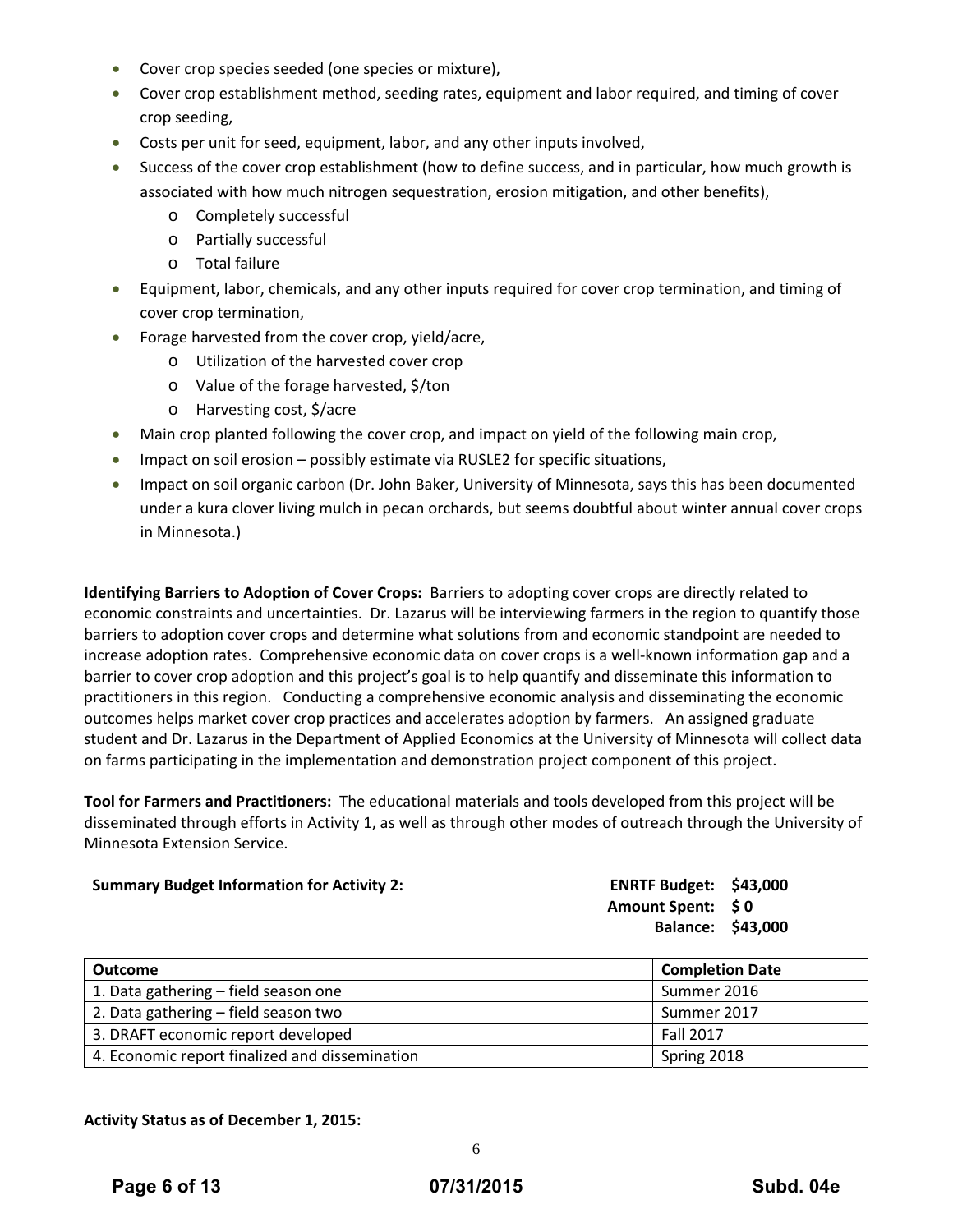- Cover crop species seeded (one species or mixture),
- Cover crop establishment method, seeding rates, equipment and labor required, and timing of cover crop seeding,
- Costs per unit for seed, equipment, labor, and any other inputs involved,
- Success of the cover crop establishment (how to define success, and in particular, how much growth is associated with how much nitrogen sequestration, erosion mitigation, and other benefits),
	- o Completely successful
	- o Partially successful
	- o Total failure
- Equipment, labor, chemicals, and any other inputs required for cover crop termination, and timing of cover crop termination,
- **•** Forage harvested from the cover crop, yield/acre,
	- o Utilization of the harvested cover crop
	- o Value of the forage harvested, \$/ton
	- o Harvesting cost, \$/acre
- Main crop planted following the cover crop, and impact on yield of the following main crop,
- Impact on soil erosion possibly estimate via RUSLE2 for specific situations,
- Impact on soil organic carbon (Dr. John Baker, University of Minnesota, says this has been documented under a kura clover living mulch in pecan orchards, but seems doubtful about winter annual cover crops in Minnesota.)

**Identifying Barriers to Adoption of Cover Crops:** Barriers to adopting cover crops are directly related to economic constraints and uncertainties. Dr. Lazarus will be interviewing farmers in the region to quantify those barriers to adoption cover crops and determine what solutions from and economic standpoint are needed to increase adoption rates. Comprehensive economic data on cover crops is a well‐known information gap and a barrier to cover crop adoption and this project's goal is to help quantify and disseminate this information to practitioners in this region. Conducting a comprehensive economic analysis and disseminating the economic outcomes helps market cover crop practices and accelerates adoption by farmers. An assigned graduate student and Dr. Lazarus in the Department of Applied Economics at the University of Minnesota will collect data on farms participating in the implementation and demonstration project component of this project.

**Tool for Farmers and Practitioners:** The educational materials and tools developed from this project will be disseminated through efforts in Activity 1, as well as through other modes of outreach through the University of Minnesota Extension Service.

| <b>Summary Budget Information for Activity 2:</b> |  |
|---------------------------------------------------|--|
|---------------------------------------------------|--|

**ENRTF** Budget: \$43,000 **Amount Spent: \$ 0 Balance: \$43,000**

| <b>Outcome</b>                                 | <b>Completion Date</b> |
|------------------------------------------------|------------------------|
| 1. Data gathering - field season one           | Summer 2016            |
| 2. Data gathering – field season two           | Summer 2017            |
| 3. DRAFT economic report developed             | <b>Fall 2017</b>       |
| 4. Economic report finalized and dissemination | Spring 2018            |

#### **Activity Status as of December 1, 2015:**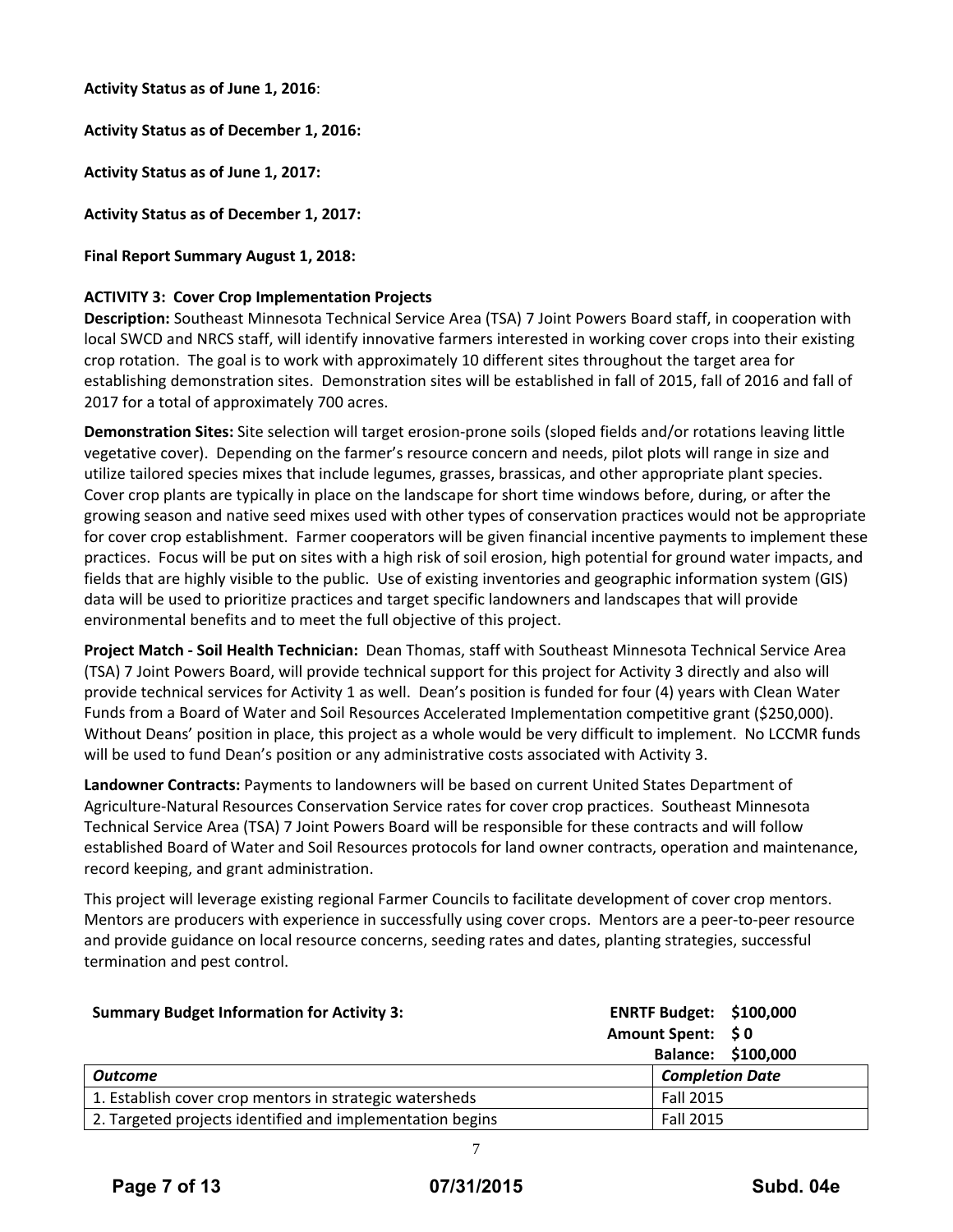**Activity Status as of June 1, 2016**:

**Activity Status as of December 1, 2016:**

**Activity Status as of June 1, 2017:**

**Activity Status as of December 1, 2017:**

**Final Report Summary August 1, 2018:**

# **ACTIVITY 3: Cover Crop Implementation Projects**

**Description:** Southeast Minnesota Technical Service Area (TSA) 7 Joint Powers Board staff, in cooperation with local SWCD and NRCS staff, will identify innovative farmers interested in working cover crops into their existing crop rotation. The goal is to work with approximately 10 different sites throughout the target area for establishing demonstration sites. Demonstration sites will be established in fall of 2015, fall of 2016 and fall of 2017 for a total of approximately 700 acres.

**Demonstration Sites:** Site selection will target erosion‐prone soils (sloped fields and/or rotations leaving little vegetative cover). Depending on the farmer's resource concern and needs, pilot plots will range in size and utilize tailored species mixes that include legumes, grasses, brassicas, and other appropriate plant species. Cover crop plants are typically in place on the landscape for short time windows before, during, or after the growing season and native seed mixes used with other types of conservation practices would not be appropriate for cover crop establishment. Farmer cooperators will be given financial incentive payments to implement these practices. Focus will be put on sites with a high risk of soil erosion, high potential for ground water impacts, and fields that are highly visible to the public. Use of existing inventories and geographic information system (GIS) data will be used to prioritize practices and target specific landowners and landscapes that will provide environmental benefits and to meet the full objective of this project.

**Project Match ‐ Soil Health Technician:** Dean Thomas, staff with Southeast Minnesota Technical Service Area (TSA) 7 Joint Powers Board, will provide technical support for this project for Activity 3 directly and also will provide technical services for Activity 1 as well. Dean's position is funded for four (4) years with Clean Water Funds from a Board of Water and Soil Resources Accelerated Implementation competitive grant (\$250,000). Without Deans' position in place, this project as a whole would be very difficult to implement. No LCCMR funds will be used to fund Dean's position or any administrative costs associated with Activity 3.

**Landowner Contracts:** Payments to landowners will be based on current United States Department of Agriculture‐Natural Resources Conservation Service rates for cover crop practices. Southeast Minnesota Technical Service Area (TSA) 7 Joint Powers Board will be responsible for these contracts and will follow established Board of Water and Soil Resources protocols for land owner contracts, operation and maintenance, record keeping, and grant administration.

This project will leverage existing regional Farmer Councils to facilitate development of cover crop mentors. Mentors are producers with experience in successfully using cover crops. Mentors are a peer‐to‐peer resource and provide guidance on local resource concerns, seeding rates and dates, planting strategies, successful termination and pest control.

| <b>Summary Budget Information for Activity 3:</b>         | <b>ENRTF Budget: \$100,000</b> |
|-----------------------------------------------------------|--------------------------------|
|                                                           | Amount Spent: \$0              |
|                                                           | Balance: \$100,000             |
| <b>Outcome</b>                                            | <b>Completion Date</b>         |
| 1. Establish cover crop mentors in strategic watersheds   | Fall 2015                      |
| 2. Targeted projects identified and implementation begins | Fall 2015                      |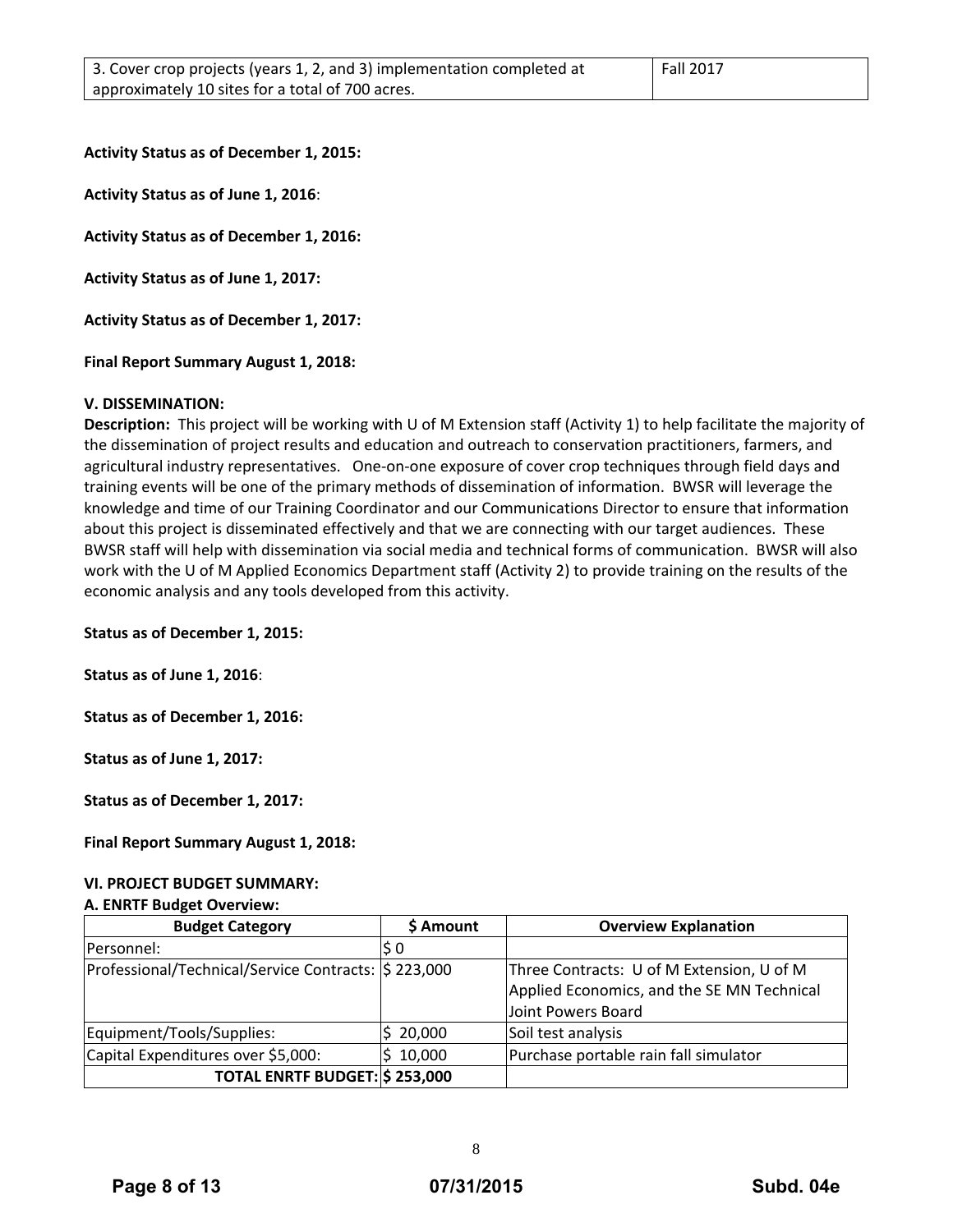**Activity Status as of December 1, 2015:**

**Activity Status as of June 1, 2016**:

**Activity Status as of December 1, 2016:**

**Activity Status as of June 1, 2017:**

**Activity Status as of December 1, 2017:**

**Final Report Summary August 1, 2018:**

#### **V. DISSEMINATION:**

**Description:** This project will be working with U of M Extension staff (Activity 1) to help facilitate the majority of the dissemination of project results and education and outreach to conservation practitioners, farmers, and agricultural industry representatives. One‐on‐one exposure of cover crop techniques through field days and training events will be one of the primary methods of dissemination of information. BWSR will leverage the knowledge and time of our Training Coordinator and our Communications Director to ensure that information about this project is disseminated effectively and that we are connecting with our target audiences. These BWSR staff will help with dissemination via social media and technical forms of communication. BWSR will also work with the U of M Applied Economics Department staff (Activity 2) to provide training on the results of the economic analysis and any tools developed from this activity.

**Status as of December 1, 2015:**

**Status as of June 1, 2016**:

**Status as of December 1, 2016:**

**Status as of June 1, 2017:**

**Status as of December 1, 2017:**

**Final Report Summary August 1, 2018:**

#### **VI. PROJECT BUDGET SUMMARY:**

#### **A. ENRTF Budget Overview:**

| <b>Budget Category</b>                              | \$ Amount | <b>Overview Explanation</b>                |  |  |  |
|-----------------------------------------------------|-----------|--------------------------------------------|--|--|--|
| Personnel:                                          | S O       |                                            |  |  |  |
| Professional/Technical/Service Contracts: \$223,000 |           | Three Contracts: U of M Extension, U of M  |  |  |  |
|                                                     |           | Applied Economics, and the SE MN Technical |  |  |  |
|                                                     |           | Joint Powers Board                         |  |  |  |
| Equipment/Tools/Supplies:                           | 20,000    | Soil test analysis                         |  |  |  |
| Capital Expenditures over \$5,000:                  | 10,000    | Purchase portable rain fall simulator      |  |  |  |
| TOTAL ENRTF BUDGET: \$253,000                       |           |                                            |  |  |  |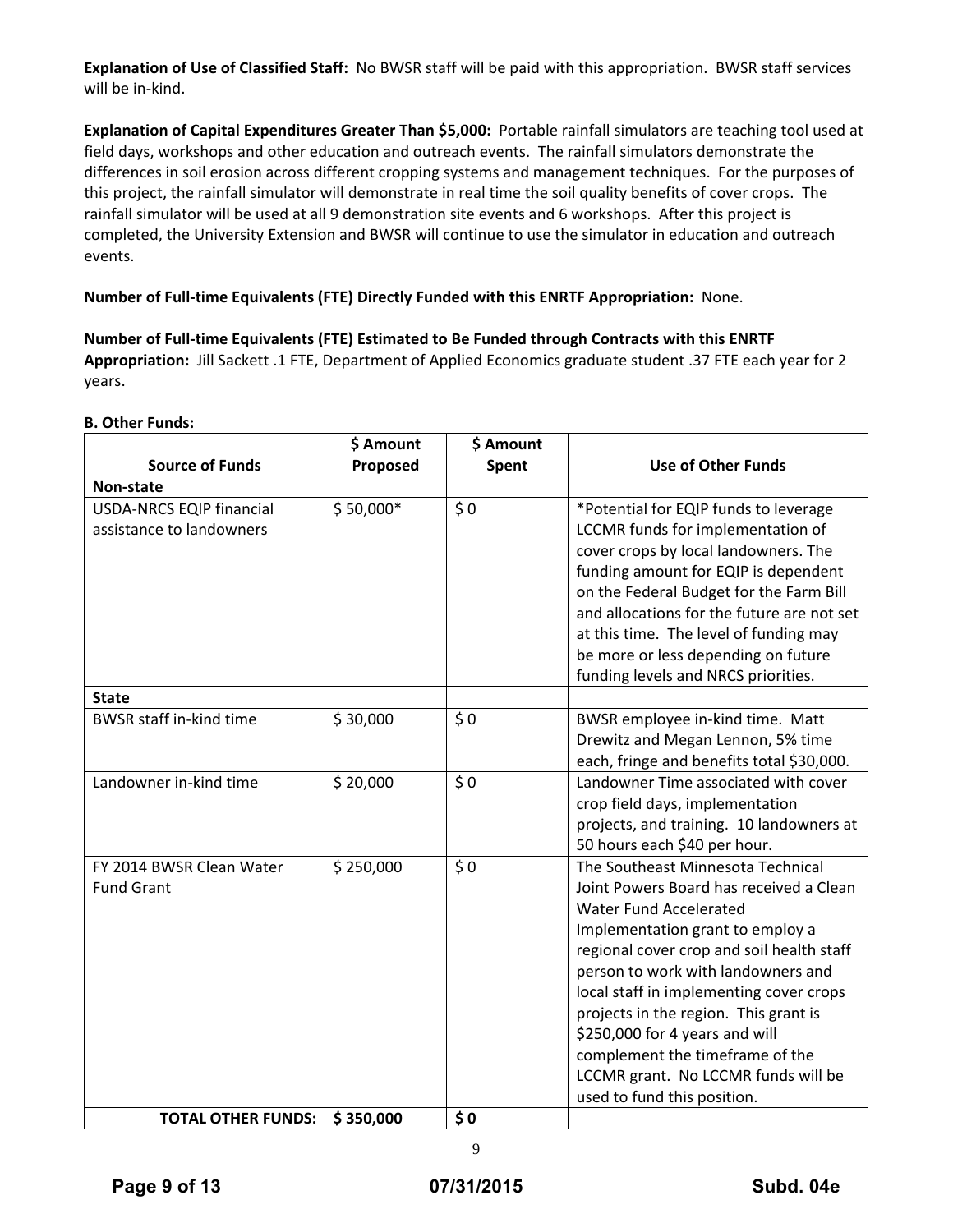**Explanation of Use of Classified Staff:** No BWSR staff will be paid with this appropriation. BWSR staff services will be in‐kind.

**Explanation of Capital Expenditures Greater Than \$5,000:** Portable rainfall simulators are teaching tool used at field days, workshops and other education and outreach events. The rainfall simulators demonstrate the differences in soil erosion across different cropping systems and management techniques. For the purposes of this project, the rainfall simulator will demonstrate in real time the soil quality benefits of cover crops. The rainfall simulator will be used at all 9 demonstration site events and 6 workshops. After this project is completed, the University Extension and BWSR will continue to use the simulator in education and outreach events.

**Number of Full‐time Equivalents (FTE) Directly Funded with this ENRTF Appropriation:** None.

**Number of Full‐time Equivalents (FTE) Estimated to Be Funded through Contracts with this ENRTF Appropriation:** Jill Sackett .1 FTE, Department of Applied Economics graduate student .37 FTE each year for 2 years.

# **B. Other Funds:**

|                                                             | \$ Amount<br>\$ Amount |       |                                                                                                                                                                                                                                                                                                                                                                                                                                                              |  |  |  |
|-------------------------------------------------------------|------------------------|-------|--------------------------------------------------------------------------------------------------------------------------------------------------------------------------------------------------------------------------------------------------------------------------------------------------------------------------------------------------------------------------------------------------------------------------------------------------------------|--|--|--|
| <b>Source of Funds</b>                                      | Proposed               | Spent | <b>Use of Other Funds</b>                                                                                                                                                                                                                                                                                                                                                                                                                                    |  |  |  |
| Non-state                                                   |                        |       |                                                                                                                                                                                                                                                                                                                                                                                                                                                              |  |  |  |
| <b>USDA-NRCS EQIP financial</b><br>assistance to landowners | $$50,000*$             | \$0   | *Potential for EQIP funds to leverage<br>LCCMR funds for implementation of<br>cover crops by local landowners. The<br>funding amount for EQIP is dependent<br>on the Federal Budget for the Farm Bill<br>and allocations for the future are not set<br>at this time. The level of funding may<br>be more or less depending on future<br>funding levels and NRCS priorities.                                                                                  |  |  |  |
| <b>State</b>                                                |                        |       |                                                                                                                                                                                                                                                                                                                                                                                                                                                              |  |  |  |
| <b>BWSR staff in-kind time</b>                              | \$30,000               | \$0   | BWSR employee in-kind time. Matt<br>Drewitz and Megan Lennon, 5% time<br>each, fringe and benefits total \$30,000.                                                                                                                                                                                                                                                                                                                                           |  |  |  |
| Landowner in-kind time                                      | \$20,000               | \$0   | Landowner Time associated with cover<br>crop field days, implementation<br>projects, and training. 10 landowners at<br>50 hours each \$40 per hour.                                                                                                                                                                                                                                                                                                          |  |  |  |
| FY 2014 BWSR Clean Water<br><b>Fund Grant</b>               | \$250,000              | \$0   | The Southeast Minnesota Technical<br>Joint Powers Board has received a Clean<br>Water Fund Accelerated<br>Implementation grant to employ a<br>regional cover crop and soil health staff<br>person to work with landowners and<br>local staff in implementing cover crops<br>projects in the region. This grant is<br>\$250,000 for 4 years and will<br>complement the timeframe of the<br>LCCMR grant. No LCCMR funds will be<br>used to fund this position. |  |  |  |
| <b>TOTAL OTHER FUNDS:</b>                                   | \$350,000              | \$0   |                                                                                                                                                                                                                                                                                                                                                                                                                                                              |  |  |  |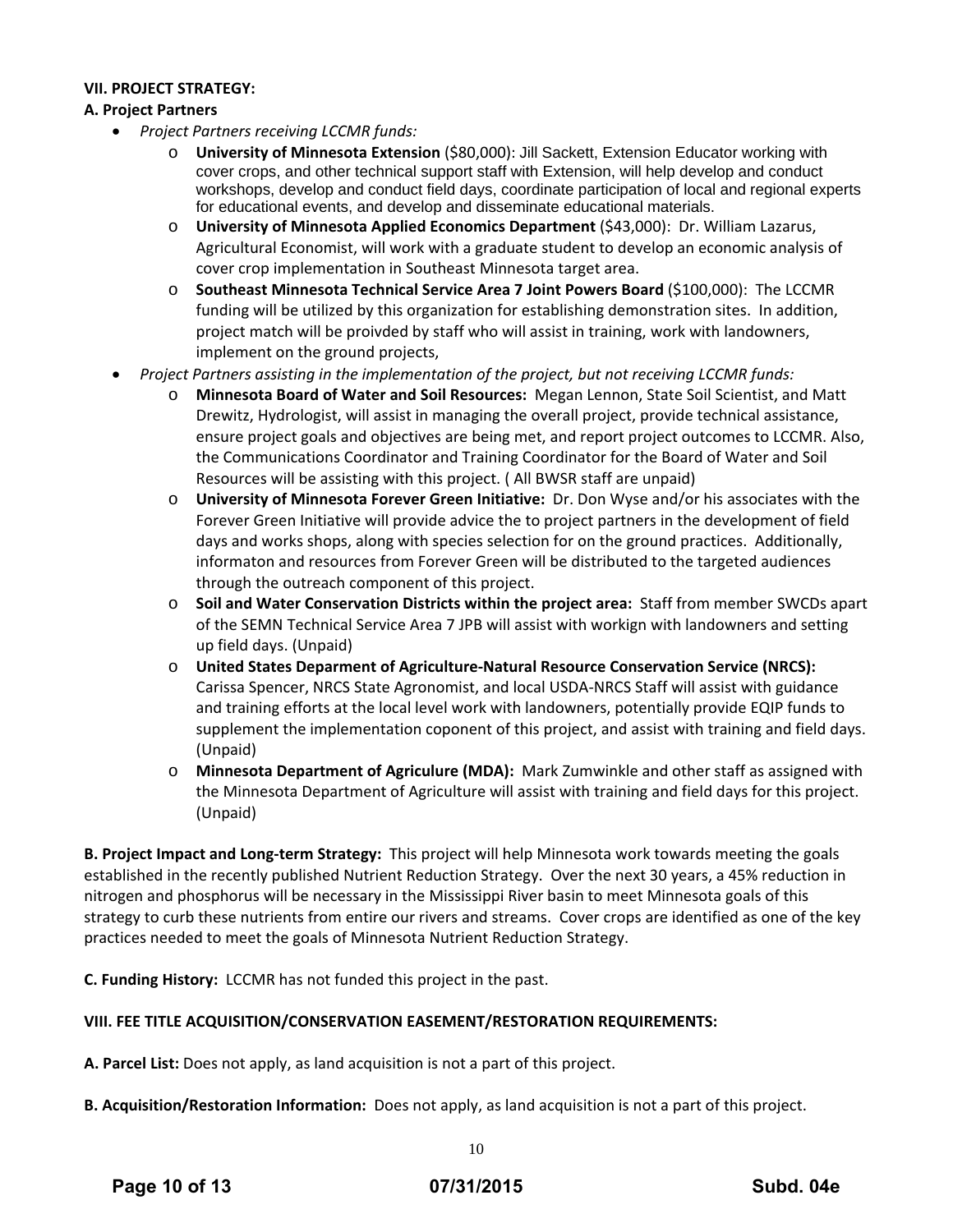# **VII. PROJECT STRATEGY:**

# **A. Project Partners**

- *Project Partners receiving LCCMR funds:*
	- o **University of Minnesota Extension** (\$80,000): Jill Sackett, Extension Educator working with cover crops, and other technical support staff with Extension, will help develop and conduct workshops, develop and conduct field days, coordinate participation of local and regional experts for educational events, and develop and disseminate educational materials.
	- o **University of Minnesota Applied Economics Department** (\$43,000): Dr. William Lazarus, Agricultural Economist, will work with a graduate student to develop an economic analysis of cover crop implementation in Southeast Minnesota target area.
	- o **Southeast Minnesota Technical Service Area 7 Joint Powers Board** (\$100,000): The LCCMR funding will be utilized by this organization for establishing demonstration sites. In addition, project match will be proivded by staff who will assist in training, work with landowners, implement on the ground projects,
- *Project Partners assisting in the implementation of the project, but not receiving LCCMR funds:*
	- o **Minnesota Board of Water and Soil Resources:** Megan Lennon, State Soil Scientist, and Matt Drewitz, Hydrologist, will assist in managing the overall project, provide technical assistance, ensure project goals and objectives are being met, and report project outcomes to LCCMR. Also, the Communications Coordinator and Training Coordinator for the Board of Water and Soil Resources will be assisting with this project. ( All BWSR staff are unpaid)
	- o **University of Minnesota Forever Green Initiative:** Dr. Don Wyse and/or his associates with the Forever Green Initiative will provide advice the to project partners in the development of field days and works shops, along with species selection for on the ground practices. Additionally, informaton and resources from Forever Green will be distributed to the targeted audiences through the outreach component of this project.
	- o **Soil and Water Conservation Districts within the project area:** Staff from member SWCDs apart of the SEMN Technical Service Area 7 JPB will assist with workign with landowners and setting up field days. (Unpaid)
	- o **United States Deparment of Agriculture‐Natural Resource Conservation Service (NRCS):** Carissa Spencer, NRCS State Agronomist, and local USDA‐NRCS Staff will assist with guidance and training efforts at the local level work with landowners, potentially provide EQIP funds to supplement the implementation coponent of this project, and assist with training and field days. (Unpaid)
	- o **Minnesota Department of Agriculure (MDA):** Mark Zumwinkle and other staff as assigned with the Minnesota Department of Agriculture will assist with training and field days for this project. (Unpaid)

**B. Project Impact and Long‐term Strategy:** This project will help Minnesota work towards meeting the goals established in the recently published Nutrient Reduction Strategy. Over the next 30 years, a 45% reduction in nitrogen and phosphorus will be necessary in the Mississippi River basin to meet Minnesota goals of this strategy to curb these nutrients from entire our rivers and streams. Cover crops are identified as one of the key practices needed to meet the goals of Minnesota Nutrient Reduction Strategy.

**C. Funding History:** LCCMR has not funded this project in the past.

# **VIII. FEE TITLE ACQUISITION/CONSERVATION EASEMENT/RESTORATION REQUIREMENTS:**

**A. Parcel List:** Does not apply, as land acquisition is not a part of this project.

**B. Acquisition/Restoration Information:** Does not apply, as land acquisition is not a part of this project.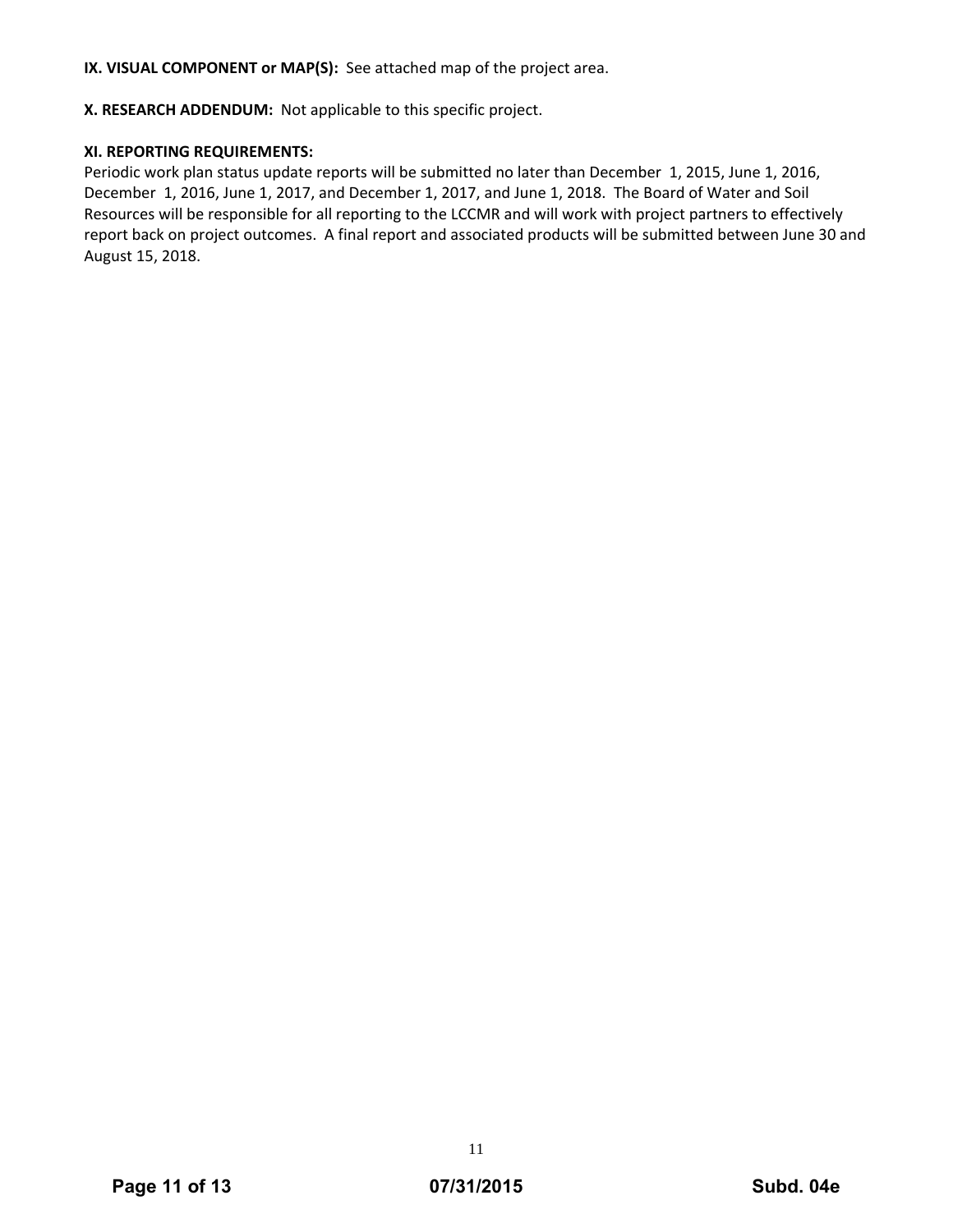**IX. VISUAL COMPONENT or MAP(S):** See attached map of the project area.

**X. RESEARCH ADDENDUM:** Not applicable to this specific project.

# **XI. REPORTING REQUIREMENTS:**

Periodic work plan status update reports will be submitted no later than December 1, 2015, June 1, 2016, December 1, 2016, June 1, 2017, and December 1, 2017, and June 1, 2018. The Board of Water and Soil Resources will be responsible for all reporting to the LCCMR and will work with project partners to effectively report back on project outcomes. A final report and associated products will be submitted between June 30 and August 15, 2018.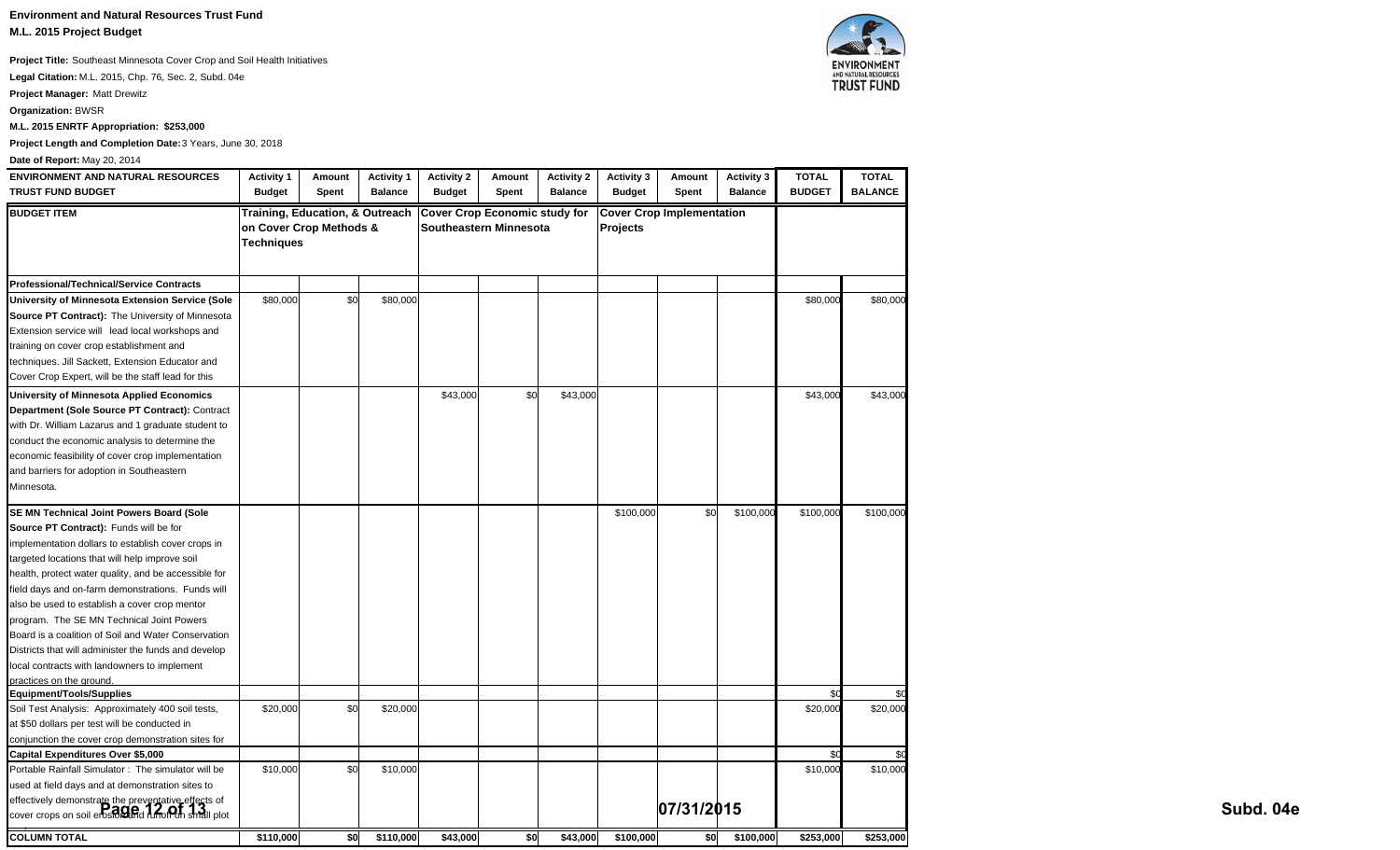**Environment and Natural Resources Trust Fund M.L. 2015 Project Budget**

**Project Title:** Southeast Minnesota Cover Crop and Soil Health Initiatives

**Legal Citation:** M.L. 2015, Chp. 76, Sec. 2, Subd. 04e

**Project Manager:** Matt Drewitz

**Organization:** BWSR

**M.L. 2015 ENRTF Appropriation: \$253,000**

**Project Length and Completion Date:** 3 Years, June 30, 2018

#### **Date of Report:** May 20, 2014

| <b>ENVIRONMENT AND NATURAL RESOURCES</b>                                                                   | <b>Activity 1</b>                     | Amount                                     | <b>Activity 1</b> | <b>Activity 2</b>                    | Amount                 | <b>Activity 2</b> | <b>Activity 3</b> | Amount                           | <b>Activity 3</b> | <b>TOTAL</b>  | <b>TOTAL</b>   |           |
|------------------------------------------------------------------------------------------------------------|---------------------------------------|--------------------------------------------|-------------------|--------------------------------------|------------------------|-------------------|-------------------|----------------------------------|-------------------|---------------|----------------|-----------|
| <b>TRUST FUND BUDGET</b>                                                                                   | <b>Budget</b>                         | Spent                                      | <b>Balance</b>    | <b>Budget</b>                        | Spent                  | <b>Balance</b>    | <b>Budget</b>     | Spent                            | <b>Balance</b>    | <b>BUDGET</b> | <b>BALANCE</b> |           |
| <b>BUDGET ITEM</b>                                                                                         | on Cover Crop Methods &<br>Techniques | <b>Training, Education, &amp; Outreach</b> |                   | <b>Cover Crop Economic study for</b> | Southeastern Minnesota |                   | Projects          | <b>Cover Crop Implementation</b> |                   |               |                |           |
| <b>Professional/Technical/Service Contracts</b>                                                            |                                       |                                            |                   |                                      |                        |                   |                   |                                  |                   |               |                |           |
| University of Minnesota Extension Service (Sole                                                            | \$80,000                              | \$0                                        | \$80,000          |                                      |                        |                   |                   |                                  |                   | \$80,000      | \$80,000       |           |
| Source PT Contract): The University of Minnesota                                                           |                                       |                                            |                   |                                      |                        |                   |                   |                                  |                   |               |                |           |
| Extension service will lead local workshops and                                                            |                                       |                                            |                   |                                      |                        |                   |                   |                                  |                   |               |                |           |
| training on cover crop establishment and                                                                   |                                       |                                            |                   |                                      |                        |                   |                   |                                  |                   |               |                |           |
| techniques. Jill Sackett, Extension Educator and                                                           |                                       |                                            |                   |                                      |                        |                   |                   |                                  |                   |               |                |           |
| Cover Crop Expert, will be the staff lead for this                                                         |                                       |                                            |                   |                                      |                        |                   |                   |                                  |                   |               |                |           |
| University of Minnesota Applied Economics                                                                  |                                       |                                            |                   | \$43,000                             | \$0                    | \$43,000          |                   |                                  |                   | \$43,000      | \$43,000       |           |
| Department (Sole Source PT Contract): Contract                                                             |                                       |                                            |                   |                                      |                        |                   |                   |                                  |                   |               |                |           |
| with Dr. William Lazarus and 1 graduate student to                                                         |                                       |                                            |                   |                                      |                        |                   |                   |                                  |                   |               |                |           |
| conduct the economic analysis to determine the                                                             |                                       |                                            |                   |                                      |                        |                   |                   |                                  |                   |               |                |           |
| economic feasibility of cover crop implementation                                                          |                                       |                                            |                   |                                      |                        |                   |                   |                                  |                   |               |                |           |
| and barriers for adoption in Southeastern                                                                  |                                       |                                            |                   |                                      |                        |                   |                   |                                  |                   |               |                |           |
| Minnesota.                                                                                                 |                                       |                                            |                   |                                      |                        |                   |                   |                                  |                   |               |                |           |
|                                                                                                            |                                       |                                            |                   |                                      |                        |                   |                   |                                  |                   |               |                |           |
| SE MN Technical Joint Powers Board (Sole                                                                   |                                       |                                            |                   |                                      |                        |                   | \$100,000         | \$0                              | \$100,000         | \$100,000     | \$100,000      |           |
| Source PT Contract): Funds will be for                                                                     |                                       |                                            |                   |                                      |                        |                   |                   |                                  |                   |               |                |           |
| implementation dollars to establish cover crops in                                                         |                                       |                                            |                   |                                      |                        |                   |                   |                                  |                   |               |                |           |
| targeted locations that will help improve soil                                                             |                                       |                                            |                   |                                      |                        |                   |                   |                                  |                   |               |                |           |
| health, protect water quality, and be accessible for                                                       |                                       |                                            |                   |                                      |                        |                   |                   |                                  |                   |               |                |           |
| field days and on-farm demonstrations. Funds will                                                          |                                       |                                            |                   |                                      |                        |                   |                   |                                  |                   |               |                |           |
| also be used to establish a cover crop mentor                                                              |                                       |                                            |                   |                                      |                        |                   |                   |                                  |                   |               |                |           |
| program. The SE MN Technical Joint Powers                                                                  |                                       |                                            |                   |                                      |                        |                   |                   |                                  |                   |               |                |           |
| Board is a coalition of Soil and Water Conservation                                                        |                                       |                                            |                   |                                      |                        |                   |                   |                                  |                   |               |                |           |
| Districts that will administer the funds and develop                                                       |                                       |                                            |                   |                                      |                        |                   |                   |                                  |                   |               |                |           |
| local contracts with landowners to implement                                                               |                                       |                                            |                   |                                      |                        |                   |                   |                                  |                   |               |                |           |
| practices on the ground.                                                                                   |                                       |                                            |                   |                                      |                        |                   |                   |                                  |                   |               |                |           |
| Equipment/Tools/Supplies                                                                                   |                                       |                                            |                   |                                      |                        |                   |                   |                                  |                   | \$ſ           |                |           |
| Soil Test Analysis: Approximately 400 soil tests,                                                          | \$20,000                              | \$0                                        | \$20,000          |                                      |                        |                   |                   |                                  |                   | \$20,000      | \$20,000       |           |
| at \$50 dollars per test will be conducted in                                                              |                                       |                                            |                   |                                      |                        |                   |                   |                                  |                   |               |                |           |
| conjunction the cover crop demonstration sites for                                                         |                                       |                                            |                   |                                      |                        |                   |                   |                                  |                   |               |                |           |
| <b>Capital Expenditures Over \$5,000</b>                                                                   |                                       |                                            |                   |                                      |                        |                   |                   |                                  |                   |               |                |           |
| Portable Rainfall Simulator: The simulator will be                                                         | \$10,000                              | \$0                                        | \$10,000          |                                      |                        |                   |                   |                                  |                   | \$10,000      | \$10,000       |           |
| used at field days and at demonstration sites to                                                           |                                       |                                            |                   |                                      |                        |                   |                   |                                  |                   |               |                |           |
| effectively demonstrate the preventative effects of<br>cover crops on soil erosion and runofron small plot |                                       |                                            |                   |                                      |                        |                   |                   | 07/31/2015                       |                   |               |                | Subd. 04e |
| <b>COLUMN TOTAL</b>                                                                                        | \$110,000                             | \$0                                        | \$110,000         | \$43,000                             | \$0                    | \$43,000          | \$100,000         | \$0                              | \$100,000         | \$253,000     | \$253,000      |           |